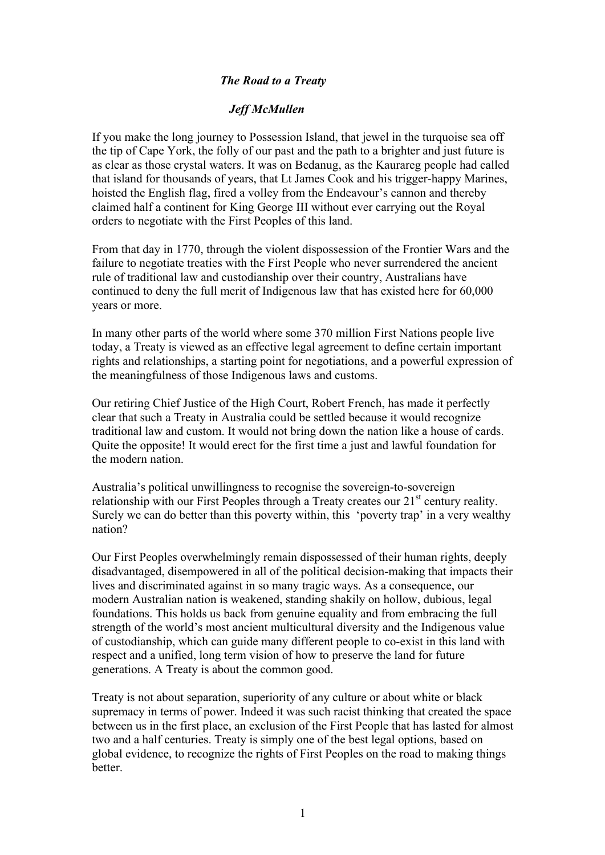## *The Road to a Treaty*

## *Jeff McMullen*

If you make the long journey to Possession Island, that jewel in the turquoise sea off the tip of Cape York, the folly of our past and the path to a brighter and just future is as clear as those crystal waters. It was on Bedanug, as the Kaurareg people had called that island for thousands of years, that Lt James Cook and his trigger-happy Marines, hoisted the English flag, fired a volley from the Endeavour's cannon and thereby claimed half a continent for King George III without ever carrying out the Royal orders to negotiate with the First Peoples of this land.

From that day in 1770, through the violent dispossession of the Frontier Wars and the failure to negotiate treaties with the First People who never surrendered the ancient rule of traditional law and custodianship over their country, Australians have continued to deny the full merit of Indigenous law that has existed here for 60,000 years or more.

In many other parts of the world where some 370 million First Nations people live today, a Treaty is viewed as an effective legal agreement to define certain important rights and relationships, a starting point for negotiations, and a powerful expression of the meaningfulness of those Indigenous laws and customs.

Our retiring Chief Justice of the High Court, Robert French, has made it perfectly clear that such a Treaty in Australia could be settled because it would recognize traditional law and custom. It would not bring down the nation like a house of cards. Quite the opposite! It would erect for the first time a just and lawful foundation for the modern nation.

Australia's political unwillingness to recognise the sovereign-to-sovereign relationship with our First Peoples through a Treaty creates our  $21<sup>st</sup>$  century reality. Surely we can do better than this poverty within, this 'poverty trap' in a very wealthy nation?

Our First Peoples overwhelmingly remain dispossessed of their human rights, deeply disadvantaged, disempowered in all of the political decision-making that impacts their lives and discriminated against in so many tragic ways. As a consequence, our modern Australian nation is weakened, standing shakily on hollow, dubious, legal foundations. This holds us back from genuine equality and from embracing the full strength of the world's most ancient multicultural diversity and the Indigenous value of custodianship, which can guide many different people to co-exist in this land with respect and a unified, long term vision of how to preserve the land for future generations. A Treaty is about the common good.

Treaty is not about separation, superiority of any culture or about white or black supremacy in terms of power. Indeed it was such racist thinking that created the space between us in the first place, an exclusion of the First People that has lasted for almost two and a half centuries. Treaty is simply one of the best legal options, based on global evidence, to recognize the rights of First Peoples on the road to making things **better**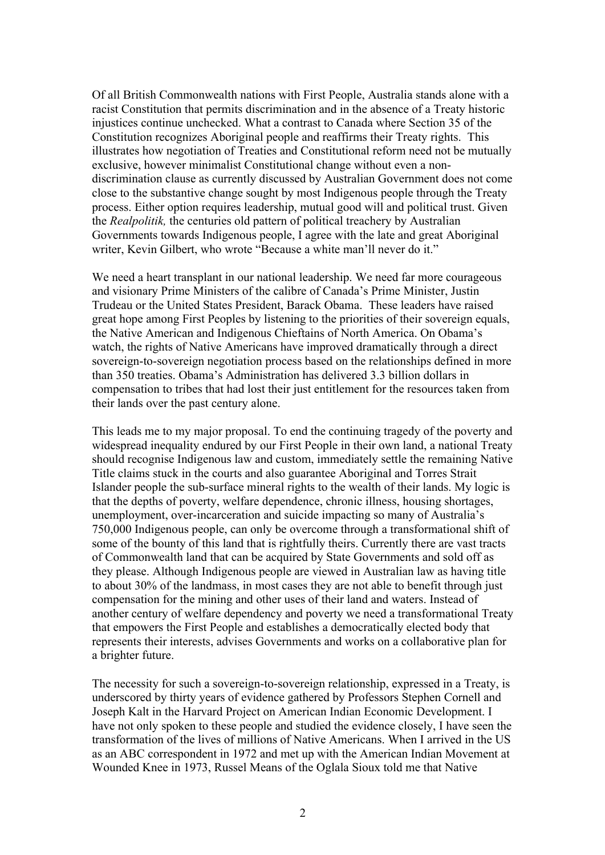Of all British Commonwealth nations with First People, Australia stands alone with a racist Constitution that permits discrimination and in the absence of a Treaty historic injustices continue unchecked. What a contrast to Canada where Section 35 of the Constitution recognizes Aboriginal people and reaffirms their Treaty rights. This illustrates how negotiation of Treaties and Constitutional reform need not be mutually exclusive, however minimalist Constitutional change without even a nondiscrimination clause as currently discussed by Australian Government does not come close to the substantive change sought by most Indigenous people through the Treaty process. Either option requires leadership, mutual good will and political trust. Given the *Realpolitik,* the centuries old pattern of political treachery by Australian Governments towards Indigenous people, I agree with the late and great Aboriginal writer, Kevin Gilbert, who wrote "Because a white man'll never do it."

We need a heart transplant in our national leadership. We need far more courageous and visionary Prime Ministers of the calibre of Canada's Prime Minister, Justin Trudeau or the United States President, Barack Obama. These leaders have raised great hope among First Peoples by listening to the priorities of their sovereign equals, the Native American and Indigenous Chieftains of North America. On Obama's watch, the rights of Native Americans have improved dramatically through a direct sovereign-to-sovereign negotiation process based on the relationships defined in more than 350 treaties. Obama's Administration has delivered 3.3 billion dollars in compensation to tribes that had lost their just entitlement for the resources taken from their lands over the past century alone.

This leads me to my major proposal. To end the continuing tragedy of the poverty and widespread inequality endured by our First People in their own land, a national Treaty should recognise Indigenous law and custom, immediately settle the remaining Native Title claims stuck in the courts and also guarantee Aboriginal and Torres Strait Islander people the sub-surface mineral rights to the wealth of their lands. My logic is that the depths of poverty, welfare dependence, chronic illness, housing shortages, unemployment, over-incarceration and suicide impacting so many of Australia's 750,000 Indigenous people, can only be overcome through a transformational shift of some of the bounty of this land that is rightfully theirs. Currently there are vast tracts of Commonwealth land that can be acquired by State Governments and sold off as they please. Although Indigenous people are viewed in Australian law as having title to about 30% of the landmass, in most cases they are not able to benefit through just compensation for the mining and other uses of their land and waters. Instead of another century of welfare dependency and poverty we need a transformational Treaty that empowers the First People and establishes a democratically elected body that represents their interests, advises Governments and works on a collaborative plan for a brighter future.

The necessity for such a sovereign-to-sovereign relationship, expressed in a Treaty, is underscored by thirty years of evidence gathered by Professors Stephen Cornell and Joseph Kalt in the Harvard Project on American Indian Economic Development. I have not only spoken to these people and studied the evidence closely, I have seen the transformation of the lives of millions of Native Americans. When I arrived in the US as an ABC correspondent in 1972 and met up with the American Indian Movement at Wounded Knee in 1973, Russel Means of the Oglala Sioux told me that Native